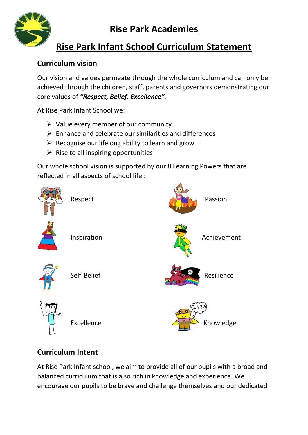

# **Rise Park Infant School Curriculum Statement**

### **Curriculum vision**

Our vision and values permeate through the whole curriculum and can only be achieved through the children, staff, parents and governors demonstrating our core values of *"Respect, Belief, Excellence".* 

At Rise Park Infant School we:

- $\triangleright$  Value every member of our community
- $\triangleright$  Enhance and celebrate our similarities and differences
- $\triangleright$  Recognise our lifelong ability to learn and grow
- $\triangleright$  Rise to all inspiring opportunities

Our whole school vision is supported by our 8 Learning Powers that are reflected in all aspects of school life :



## **Curriculum Intent**

At Rise Park Infant school, we aim to provide all of our pupils with a broad and balanced curriculum that is also rich in knowledge and experience. We encourage our pupils to be brave and challenge themselves and our dedicated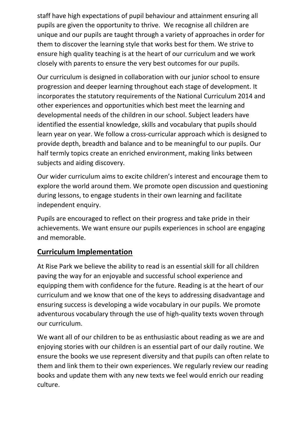staff have high expectations of pupil behaviour and attainment ensuring all pupils are given the opportunity to thrive. We recognise all children are unique and our pupils are taught through a variety of approaches in order for them to discover the learning style that works best for them. We strive to ensure high quality teaching is at the heart of our curriculum and we work closely with parents to ensure the very best outcomes for our pupils.

Our curriculum is designed in collaboration with our junior school to ensure progression and deeper learning throughout each stage of development. It incorporates the statutory requirements of the National Curriculum 2014 and other experiences and opportunities which best meet the learning and developmental needs of the children in our school. Subject leaders have identified the essential knowledge, skills and vocabulary that pupils should learn year on year. We follow a cross-curricular approach which is designed to provide depth, breadth and balance and to be meaningful to our pupils. Our half termly topics create an enriched environment, making links between subjects and aiding discovery.

Our wider curriculum aims to excite children's interest and encourage them to explore the world around them. We promote open discussion and questioning during lessons, to engage students in their own learning and facilitate independent enquiry.

Pupils are encouraged to reflect on their progress and take pride in their achievements. We want ensure our pupils experiences in school are engaging and memorable.

## **Curriculum Implementation**

At Rise Park we believe the ability to read is an essential skill for all children paving the way for an enjoyable and successful school experience and equipping them with confidence for the future. Reading is at the heart of our curriculum and we know that one of the keys to addressing disadvantage and ensuring success is developing a wide vocabulary in our pupils. We promote adventurous vocabulary through the use of high-quality texts woven through our curriculum.

We want all of our children to be as enthusiastic about reading as we are and enjoying stories with our children is an essential part of our daily routine. We ensure the books we use represent diversity and that pupils can often relate to them and link them to their own experiences. We regularly review our reading books and update them with any new texts we feel would enrich our reading culture.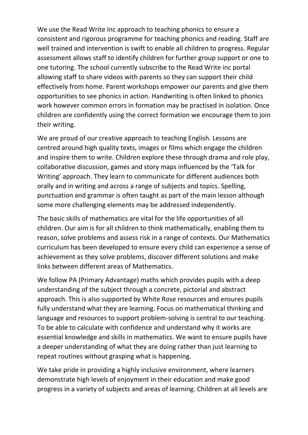We use the Read Write Inc approach to teaching phonics to ensure a consistent and rigorous programme for teaching phonics and reading. Staff are well trained and intervention is swift to enable all children to progress. Regular assessment allows staff to identify children for further group support or one to one tutoring. The school currently subscribe to the Read Write inc portal allowing staff to share videos with parents so they can support their child effectively from home. Parent workshops empower our parents and give them opportunities to see phonics in action. Handwriting is often linked to phonics work however common errors in formation may be practised in isolation. Once children are confidently using the correct formation we encourage them to join their writing.

We are proud of our creative approach to teaching English. Lessons are centred around high quality texts, images or films which engage the children and inspire them to write. Children explore these through drama and role play, collaborative discussion, games and story maps influenced by the 'Talk for Writing' approach. They learn to communicate for different audiences both orally and in writing and across a range of subjects and topics. Spelling, punctuation and grammar is often taught as part of the main lesson although some more challenging elements may be addressed independently.

The basic skills of mathematics are vital for the life opportunities of all children. Our aim is for all children to think mathematically, enabling them to reason, solve problems and assess risk in a range of contexts. Our Mathematics curriculum has been developed to ensure every child can experience a sense of achievement as they solve problems, discover different solutions and make links between different areas of Mathematics.

We follow PA (Primary Advantage) maths which provides pupils with a deep understanding of the subject through a concrete, pictorial and abstract approach. This is also supported by White Rose resources and ensures pupils fully understand what they are learning. Focus on mathematical thinking and language and resources to support problem-solving is central to our teaching. To be able to calculate with confidence and understand why it works are essential knowledge and skills in mathematics. We want to ensure pupils have a deeper understanding of what they are doing rather than just learning to repeat routines without grasping what is happening.

We take pride in providing a highly inclusive environment, where learners demonstrate high levels of enjoyment in their education and make good progress in a variety of subjects and areas of learning. Children at all levels are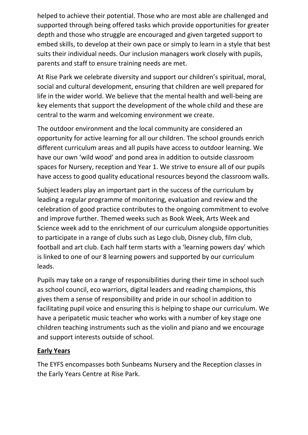helped to achieve their potential. Those who are most able are challenged and supported through being offered tasks which provide opportunities for greater depth and those who struggle are encouraged and given targeted support to embed skills, to develop at their own pace or simply to learn in a style that best suits their individual needs. Our inclusion managers work closely with pupils, parents and staff to ensure training needs are met.

At Rise Park we celebrate diversity and support our children's spiritual, moral, social and cultural development, ensuring that children are well prepared for life in the wider world. We believe that the mental health and well-being are key elements that support the development of the whole child and these are central to the warm and welcoming environment we create.

The outdoor environment and the local community are considered an opportunity for active learning for all our children. The school grounds enrich different curriculum areas and all pupils have access to outdoor learning. We have our own 'wild wood' and pond area in addition to outside classroom spaces for Nursery, reception and Year 1. We strive to ensure all of our pupils have access to good quality educational resources beyond the classroom walls.

Subject leaders play an important part in the success of the curriculum by leading a regular programme of monitoring, evaluation and review and the celebration of good practice contributes to the ongoing commitment to evolve and improve further. Themed weeks such as Book Week, Arts Week and Science week add to the enrichment of our curriculum alongside opportunities to participate in a range of clubs such as Lego club, Disney club, film club, football and art club. Each half term starts with a 'learning powers day' which is linked to one of our 8 learning powers and supported by our curriculum leads.

Pupils may take on a range of responsibilities during their time in school such as school council, eco warriors, digital leaders and reading champions, this gives them a sense of responsibility and pride in our school in addition to facilitating pupil voice and ensuring this is helping to shape our curriculum. We have a peripatetic music teacher who works with a number of key stage one children teaching instruments such as the violin and piano and we encourage and support interests outside of school.

#### **Early Years**

The EYFS encompasses both Sunbeams Nursery and the Reception classes in the Early Years Centre at Rise Park.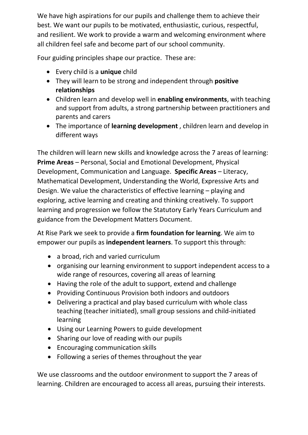We have high aspirations for our pupils and challenge them to achieve their best. We want our pupils to be motivated, enthusiastic, curious, respectful, and resilient. We work to provide a warm and welcoming environment where all children feel safe and become part of our school community.

Four guiding principles shape our practice. These are:

- Every child is a **unique** child
- They will learn to be strong and independent through **positive relationships**
- Children learn and develop well in **enabling environments**, with teaching and support from adults, a strong partnership between practitioners and parents and carers
- The importance of **learning development** , children learn and develop in different ways

The children will learn new skills and knowledge across the 7 areas of learning: **Prime Areas** – Personal, Social and Emotional Development, Physical Development, Communication and Language. **Specific Areas** – Literacy, Mathematical Development, Understanding the World, Expressive Arts and Design. We value the characteristics of effective learning – playing and exploring, active learning and creating and thinking creatively. To support learning and progression we follow the Statutory Early Years Curriculum and guidance from the Development Matters Document.

At Rise Park we seek to provide a **firm foundation for learning**. We aim to empower our pupils as **independent learners**. To support this through:

- a broad, rich and varied curriculum
- organising our learning environment to support independent access to a wide range of resources, covering all areas of learning
- Having the role of the adult to support, extend and challenge
- Providing Continuous Provision both indoors and outdoors
- Delivering a practical and play based curriculum with whole class teaching (teacher initiated), small group sessions and child-initiated learning
- Using our Learning Powers to guide development
- Sharing our love of reading with our pupils
- Encouraging communication skills
- Following a series of themes throughout the year

We use classrooms and the outdoor environment to support the 7 areas of learning. Children are encouraged to access all areas, pursuing their interests.